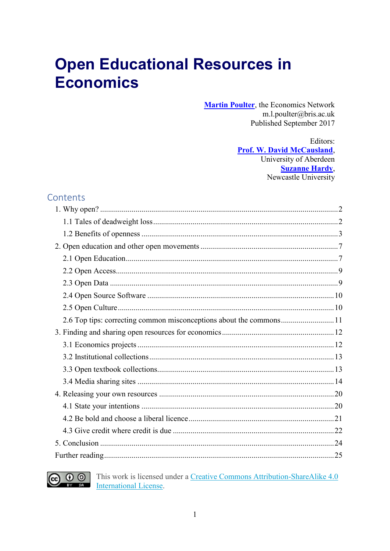# **Open Educational Resources in Economics**

**Martin Poulter**, the Economics Network m.l.poulter@bris.ac.uk Published September 2017

> Editors: **Prof. W. David McCausland,** University of Aberdeen **Suzanne Hardy**, Newcastle University

## Contents

| 2.6 Top tips: correcting common misconceptions about the commons11 |  |
|--------------------------------------------------------------------|--|
|                                                                    |  |
|                                                                    |  |
|                                                                    |  |
|                                                                    |  |
|                                                                    |  |
|                                                                    |  |
|                                                                    |  |
|                                                                    |  |
|                                                                    |  |
|                                                                    |  |
|                                                                    |  |



This work is licensed under a Creative Commons Attribution-ShareAlike 4.0 **International License.**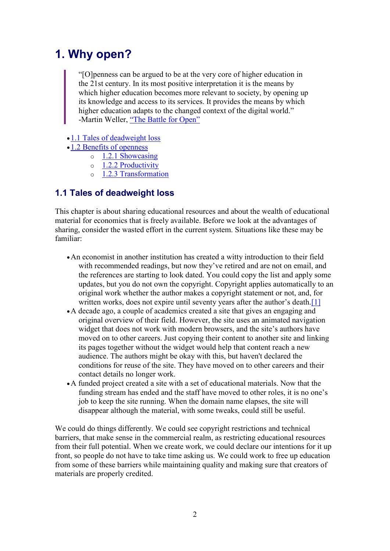## <span id="page-1-0"></span>1. Why open?

"[O]penness can be argued to be at the very core of higher education in the 21st century. In its most positive interpretation it is the means by which higher education becomes more relevant to society, by opening up its knowledge and access to its services. It provides the means by which higher education adapts to the changed context of the digital world." -Martin Weller, ["The Battle for Open"](http://jime.open.ac.uk/articles/10.5334/2013-15/)

- 1.1 [Tales of deadweight loss](https://www.economicsnetwork.ac.uk/#Tales_of_deadweight_loss)
- •1.2 [Benefits of openness](https://www.economicsnetwork.ac.uk/#Benefits_of_openness)
	- o [1.2.1 Showcasing](https://www.economicsnetwork.ac.uk/#Showcasing)
	- $\circ$  [1.2.2 Productivity](https://www.economicsnetwork.ac.uk/#Productivity)
	- o [1.2.3 Transformation](https://www.economicsnetwork.ac.uk/#Transformation)

## <span id="page-1-1"></span>1.1 Tales of deadweight loss

This chapter is about sharing educational resources and about the wealth of educational material for economics that is freely available. Before we look at the advantages of sharing, consider the wasted effort in the current system. Situations like these may be familiar:

- •An economist in another institution has created a witty introduction to their field with recommended readings, but now they've retired and are not on email, and the references are starting to look dated. You could copy the list and apply some updates, but you do not own the copyright. Copyright applies automatically to an original work whether the author makes a copyright statement or not, and, for written works, does not expire until seventy years after the author's death.<sup>[\[1\]](https://www.economicsnetwork.ac.uk/#fn1)</sup>
- •A decade ago, a couple of academics created a site that gives an engaging and original overview of their field. However, the site uses an animated navigation widget that does not work with modern browsers, and the site's authors have moved on to other careers. Just copying their content to another site and linking its pages together without the widget would help that content reach a new audience. The authors might be okay with this, but haven't declared the conditions for reuse of the site. They have moved on to other careers and their contact details no longer work.
- •A funded project created a site with a set of educational materials. Now that the funding stream has ended and the staff have moved to other roles, it is no one's job to keep the site running. When the domain name elapses, the site will disappear although the material, with some tweaks, could still be useful.

We could do things differently. We could see copyright restrictions and technical barriers, that make sense in the commercial realm, as restricting educational resources from their full potential. When we create work, we could declare our intentions for it up front, so people do not have to take time asking us. We could work to free up education from some of these barriers while maintaining quality and making sure that creators of materials are properly credited.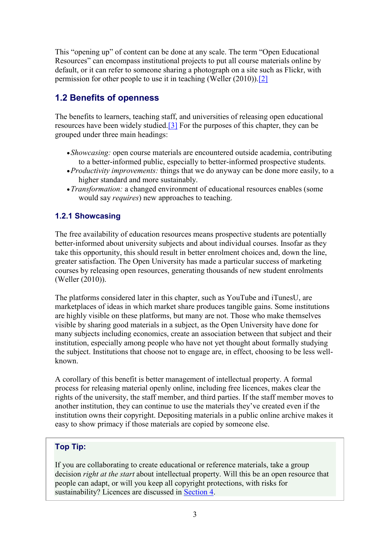This "opening up" of content can be done at any scale. The term "Open Educational Resources" can encompass institutional projects to put all course materials online by default, or it can refer to someone sharing a photograph on a site such as Flickr, with permission for other people to use it in teaching (Weller (2010))[.\[2\]](https://www.economicsnetwork.ac.uk/#fn2)

## <span id="page-2-0"></span>1.2 Benefits of openness

The benefits to learners, teaching staff, and universities of releasing open educational resources have been widely studied[.\[3\]](https://www.economicsnetwork.ac.uk/#fn3) For the purposes of this chapter, they can be grouped under three main headings:

- •*Showcasing:* open course materials are encountered outside academia, contributing to a better-informed public, especially to better-informed prospective students.
- •*Productivity improvements:* things that we do anyway can be done more easily, to a higher standard and more sustainably.
- •*Transformation:* a changed environment of educational resources enables (some would say *requires*) new approaches to teaching.

## 1.2.1 Showcasing

The free availability of education resources means prospective students are potentially better-informed about university subjects and about individual courses. Insofar as they take this opportunity, this should result in better enrolment choices and, down the line, greater satisfaction. The Open University has made a particular success of marketing courses by releasing open resources, generating thousands of new student enrolments (Weller (2010)).

The platforms considered later in this chapter, such as YouTube and iTunesU, are marketplaces of ideas in which market share produces tangible gains. Some institutions are highly visible on these platforms, but many are not. Those who make themselves visible by sharing good materials in a subject, as the Open University have done for many subjects including economics, create an association between that subject and their institution, especially among people who have not yet thought about formally studying the subject. Institutions that choose not to engage are, in effect, choosing to be less wellknown.

A corollary of this benefit is better management of intellectual property. A formal process for releasing material openly online, including free licences, makes clear the rights of the university, the staff member, and third parties. If the staff member moves to another institution, they can continue to use the materials they've created even if the institution owns their copyright. Depositing materials in a public online archive makes it easy to show primacy if those materials are copied by someone else.

## Top Tip:

If you are collaborating to create educational or reference materials, take a group decision *right at the start* about intellectual property. Will this be an open resource that people can adapt, or will you keep all copyright protections, with risks for sustainability? Licences are discussed in [Section 4.](https://www.economicsnetwork.ac.uk/handbook/4)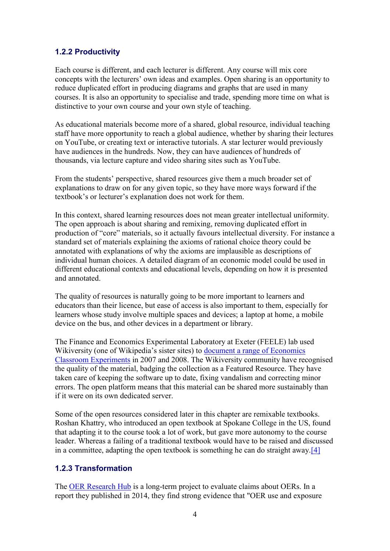#### 1.2.2 Productivity

Each course is different, and each lecturer is different. Any course will mix core concepts with the lecturers' own ideas and examples. Open sharing is an opportunity to reduce duplicated effort in producing diagrams and graphs that are used in many courses. It is also an opportunity to specialise and trade, spending more time on what is distinctive to your own course and your own style of teaching.

As educational materials become more of a shared, global resource, individual teaching staff have more opportunity to reach a global audience, whether by sharing their lectures on YouTube, or creating text or interactive tutorials. A star lecturer would previously have audiences in the hundreds. Now, they can have audiences of hundreds of thousands, via lecture capture and video sharing sites such as YouTube.

From the students' perspective, shared resources give them a much broader set of explanations to draw on for any given topic, so they have more ways forward if the textbook's or lecturer's explanation does not work for them.

In this context, shared learning resources does not mean greater intellectual uniformity. The open approach is about sharing and remixing, removing duplicated effort in production of "core" materials, so it actually favours intellectual diversity. For instance a standard set of materials explaining the axioms of rational choice theory could be annotated with explanations of why the axioms are implausible as descriptions of individual human choices. A detailed diagram of an economic model could be used in different educational contexts and educational levels, depending on how it is presented and annotated.

The quality of resources is naturally going to be more important to learners and educators than their licence, but ease of access is also important to them, especially for learners whose study involve multiple spaces and devices; a laptop at home, a mobile device on the bus, and other devices in a department or library.

The Finance and Economics Experimental Laboratory at Exeter (FEELE) lab used Wikiversity (one of Wikipedia's sister sites) to [document a range of Economics](https://en.wikiversity.org/wiki/Economic_Classroom_Experiments)  [Classroom Experiments](https://en.wikiversity.org/wiki/Economic_Classroom_Experiments) in 2007 and 2008. The Wikiversity community have recognised the quality of the material, badging the collection as a Featured Resource. They have taken care of keeping the software up to date, fixing vandalism and correcting minor errors. The open platform means that this material can be shared more sustainably than if it were on its own dedicated server.

Some of the open resources considered later in this chapter are remixable textbooks. Roshan Khattry, who introduced an open textbook at Spokane College in the US, found that adapting it to the course took a lot of work, but gave more autonomy to the course leader. Whereas a failing of a traditional textbook would have to be raised and discussed in a committee, adapting the open textbook is something he can do straight away[.\[4\]](https://www.economicsnetwork.ac.uk/#fn4)

#### 1.2.3 Transformation

The [OER Research Hub](http://oerhub.net/) is a long-term project to evaluate claims about OERs. In a report they published in 2014, they find strong evidence that "OER use and exposure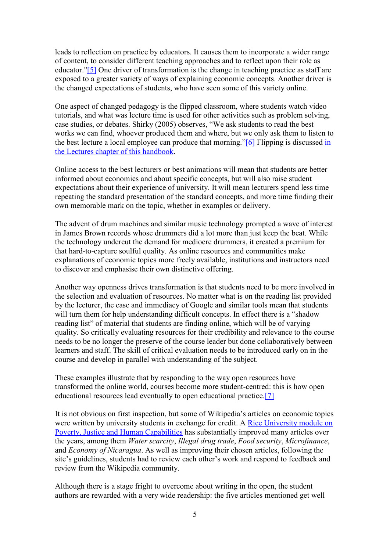leads to reflection on practice by educators. It causes them to incorporate a wider range of content, to consider different teaching approaches and to reflect upon their role as educator.["\[5\]](https://www.economicsnetwork.ac.uk/#fn5) One driver of transformation is the change in teaching practice as staff are exposed to a greater variety of ways of explaining economic concepts. Another driver is the changed expectations of students, who have seen some of this variety online.

One aspect of changed pedagogy is the flipped classroom, where students watch video tutorials, and what was lecture time is used for other activities such as problem solving, case studies, or debates. Shirky (2005) observes, "We ask students to read the best works we can find, whoever produced them and where, but we only ask them to listen to the best lecture a local employee can produce that morning."[\[6\]](https://www.economicsnetwork.ac.uk/#fn6) Flipping is discussed [in](https://www.economicsnetwork.ac.uk/handbook/lectures/32)  [the Lectures chapter of this handbook.](https://www.economicsnetwork.ac.uk/handbook/lectures/32)

Online access to the best lecturers or best animations will mean that students are better informed about economics and about specific concepts, but will also raise student expectations about their experience of university. It will mean lecturers spend less time repeating the standard presentation of the standard concepts, and more time finding their own memorable mark on the topic, whether in examples or delivery.

The advent of drum machines and similar music technology prompted a wave of interest in James Brown records whose drummers did a lot more than just keep the beat. While the technology undercut the demand for mediocre drummers, it created a premium for that hard-to-capture soulful quality. As online resources and communities make explanations of economic topics more freely available, institutions and instructors need to discover and emphasise their own distinctive offering.

Another way openness drives transformation is that students need to be more involved in the selection and evaluation of resources. No matter what is on the reading list provided by the lecturer, the ease and immediacy of Google and similar tools mean that students will turn them for help understanding difficult concepts. In effect there is a "shadow" reading list" of material that students are finding online, which will be of varying quality. So critically evaluating resources for their credibility and relevance to the course needs to be no longer the preserve of the course leader but done collaboratively between learners and staff. The skill of critical evaluation needs to be introduced early on in the course and develop in parallel with understanding of the subject.

These examples illustrate that by responding to the way open resources have transformed the online world, courses become more student-centred: this is how open educational resources lead eventually to open educational practice[.\[7\]](https://www.economicsnetwork.ac.uk/#fn7)

It is not obvious on first inspection, but some of Wikipedia's articles on economic topics were written by university students in exchange for credit. A [Rice University module on](https://en.wikipedia.org/wiki/User:DStrassmann#Courses_Taught.2FDesigned_with_Wikipedia)  [Poverty, Justice and Human Capabilities](https://en.wikipedia.org/wiki/User:DStrassmann#Courses_Taught.2FDesigned_with_Wikipedia) has substantially improved many articles over the years, among them *Water scarcity*, *Illegal drug trade*, *Food security*, *Microfinance*, and *Economy of Nicaragua*. As well as improving their chosen articles, following the site's guidelines, students had to review each other's work and respond to feedback and review from the Wikipedia community.

Although there is a stage fright to overcome about writing in the open, the student authors are rewarded with a very wide readership: the five articles mentioned get well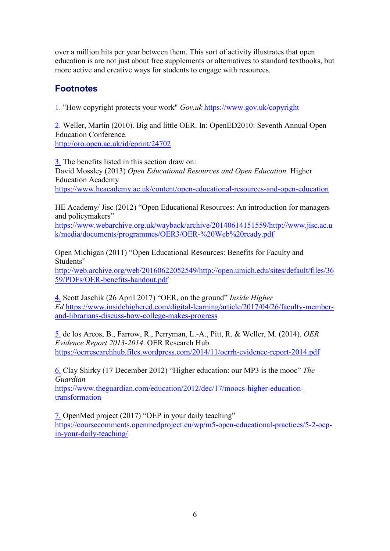over a million hits per year between them. This sort of activity illustrates that open education is are not just about free supplements or alternatives to standard textbooks, but more active and creative ways for students to engage with resources.

## Footnotes

[1.](https://www.economicsnetwork.ac.uk/#fnref1) "How copyright protects your work" *Gov.uk* <https://www.gov.uk/copyright>

[2.](https://www.economicsnetwork.ac.uk/#fnref2) Weller, Martin (2010). Big and little OER. In: OpenED2010: Seventh Annual Open Education Conference. <http://oro.open.ac.uk/id/eprint/24702>

[3.](https://www.economicsnetwork.ac.uk/#fnref3) The benefits listed in this section draw on: David Mossley (2013) *Open Educational Resources and Open Education.* Higher Education Academy <https://www.heacademy.ac.uk/content/open-educational-resources-and-open-education>

HE Academy/ Jisc (2012) "Open Educational Resources: An introduction for managers and policymakers"

[https://www.webarchive.org.uk/wayback/archive/20140614151559/http://www.jisc.ac.u](https://www.webarchive.org.uk/wayback/archive/20140614151559/http:/www.jisc.ac.uk/media/documents/programmes/OER3/OER-%20Web%20ready.pdf) [k/media/documents/programmes/OER3/OER-%20Web%20ready.pdf](https://www.webarchive.org.uk/wayback/archive/20140614151559/http:/www.jisc.ac.uk/media/documents/programmes/OER3/OER-%20Web%20ready.pdf)

Open Michigan (2011) "Open Educational Resources: Benefits for Faculty and Students" [http://web.archive.org/web/20160622052549/http://open.umich.edu/sites/default/files/36](http://web.archive.org/web/20160622052549/http:/open.umich.edu/sites/default/files/3659/PDFs/OER-benefits-handout.pdf) [59/PDFs/OER-benefits-handout.pdf](http://web.archive.org/web/20160622052549/http:/open.umich.edu/sites/default/files/3659/PDFs/OER-benefits-handout.pdf)

[4.](https://www.economicsnetwork.ac.uk/#fnref4) Scott Jaschik (26 April 2017) "OER, on the ground" *Inside Higher Ed* [https://www.insidehighered.com/digital-learning/article/2017/04/26/faculty-member](https://www.insidehighered.com/digital-learning/article/2017/04/26/faculty-member-and-librarians-discuss-how-college-makes-progress)[and-librarians-discuss-how-college-makes-progress](https://www.insidehighered.com/digital-learning/article/2017/04/26/faculty-member-and-librarians-discuss-how-college-makes-progress)

[5.](https://www.economicsnetwork.ac.uk/#fnref5) de los Arcos, B., Farrow, R., Perryman, L.-A., Pitt, R. & Weller, M. (2014). *OER Evidence Report 2013-2014*. OER Research Hub. <https://oerresearchhub.files.wordpress.com/2014/11/oerrh-evidence-report-2014.pdf>

[6.](https://www.economicsnetwork.ac.uk/#fnref6) Clay Shirky (17 December 2012) "Higher education: our MP3 is the mooc" *The Guardian*

[https://www.theguardian.com/education/2012/dec/17/moocs-higher-education](https://www.theguardian.com/education/2012/dec/17/moocs-higher-education-transformation)[transformation](https://www.theguardian.com/education/2012/dec/17/moocs-higher-education-transformation)

[7.](https://www.economicsnetwork.ac.uk/#fnref7) OpenMed project (2017) "OEP in your daily teaching"

[https://coursecomments.openmedproject.eu/wp/m5-open-educational-practices/5-2-oep](https://coursecomments.openmedproject.eu/wp/m5-open-educational-practices/5-2-oep-in-your-daily-teaching/)[in-your-daily-teaching/](https://coursecomments.openmedproject.eu/wp/m5-open-educational-practices/5-2-oep-in-your-daily-teaching/)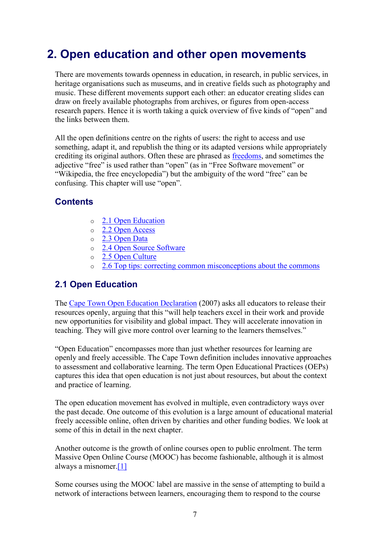## <span id="page-6-0"></span>2. Open education and other open movements

There are movements towards openness in education, in research, in public services, in heritage organisations such as museums, and in creative fields such as photography and music. These different movements support each other: an educator creating slides can draw on freely available photographs from archives, or figures from open-access research papers. Hence it is worth taking a quick overview of five kinds of "open" and the links between them.

All the open definitions centre on the rights of users: the right to access and use something, adapt it, and republish the thing or its adapted versions while appropriately crediting its original authors. Often these are phrased as [freedoms,](https://freedomdefined.org/Definition) and sometimes the adjective "free" is used rather than "open" (as in "Free Software movement" or "Wikipedia, the free encyclopedia") but the ambiguity of the word "free" can be confusing. This chapter will use "open".

## **Contents**

- o 2.1 [Open Education](https://www.economicsnetwork.ac.uk/#Open_Education)
- o [2.2 Open Access](https://www.economicsnetwork.ac.uk/#Open_Access)
- o 2.3 [Open Data](https://www.economicsnetwork.ac.uk/#Open_Data)
- o 2.4 [Open Source Software](https://www.economicsnetwork.ac.uk/#Open_Source_Software)
- $\circ$  2.5 [Open Culture](https://www.economicsnetwork.ac.uk/#Open_Culture)
- o 2.6 [Top tips: correcting common misconceptions about the commons](https://www.economicsnetwork.ac.uk/#Top_tips:_correcting_common_misconceptions_about_the_commons)

## <span id="page-6-1"></span>2.1 Open Education

The [Cape Town Open Education Declaration](http://www.capetowndeclaration.org/read-the-declaration) (2007) asks all educators to release their resources openly, arguing that this "will help teachers excel in their work and provide new opportunities for visibility and global impact. They will accelerate innovation in teaching. They will give more control over learning to the learners themselves."

"Open Education" encompasses more than just whether resources for learning are openly and freely accessible. The Cape Town definition includes innovative approaches to assessment and collaborative learning. The term Open Educational Practices (OEPs) captures this idea that open education is not just about resources, but about the context and practice of learning.

The open education movement has evolved in multiple, even contradictory ways over the past decade. One outcome of this evolution is a large amount of educational material freely accessible online, often driven by charities and other funding bodies. We look at some of this in detail in the next chapter.

Another outcome is the growth of online courses open to public enrolment. The term Massive Open Online Course (MOOC) has become fashionable, although it is almost always a misnomer[.\[1\]](https://www.economicsnetwork.ac.uk/#fn1)

Some courses using the MOOC label are massive in the sense of attempting to build a network of interactions between learners, encouraging them to respond to the course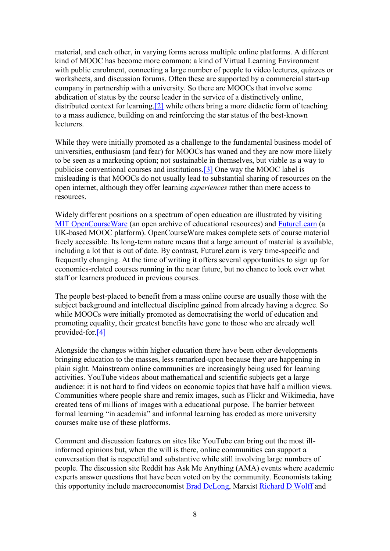material, and each other, in varying forms across multiple online platforms. A different kind of MOOC has become more common: a kind of Virtual Learning Environment with public enrolment, connecting a large number of people to video lectures, quizzes or worksheets, and discussion forums. Often these are supported by a commercial start-up company in partnership with a university. So there are MOOCs that involve some abdication of status by the course leader in the service of a distinctively online, distributed context for learning[,\[2\]](https://www.economicsnetwork.ac.uk/#fn2) while others bring a more didactic form of teaching to a mass audience, building on and reinforcing the star status of the best-known lecturers.

While they were initially promoted as a challenge to the fundamental business model of universities, enthusiasm (and fear) for MOOCs has waned and they are now more likely to be seen as a marketing option; not sustainable in themselves, but viable as a way to publicise conventional courses and institutions[.\[3\]](https://www.economicsnetwork.ac.uk/#fn3) One way the MOOC label is misleading is that MOOCs do not usually lead to substantial sharing of resources on the open internet, although they offer learning *experiences* rather than mere access to resources.

Widely different positions on a spectrum of open education are illustrated by visiting [MIT OpenCourseWare](https://ocw.mit.edu/courses/economics/) (an open archive of educational resources) and [FutureLearn](https://www.futurelearn.com/courses/categories) (a UK-based MOOC platform). OpenCourseWare makes complete sets of course material freely accessible. Its long-term nature means that a large amount of material is available, including a lot that is out of date. By contrast, FutureLearn is very time-specific and frequently changing. At the time of writing it offers several opportunities to sign up for economics-related courses running in the near future, but no chance to look over what staff or learners produced in previous courses.

The people best-placed to benefit from a mass online course are usually those with the subject background and intellectual discipline gained from already having a degree. So while MOOCs were initially promoted as democratising the world of education and promoting equality, their greatest benefits have gone to those who are already well provided-for[.\[4\]](https://www.economicsnetwork.ac.uk/#fn4)

Alongside the changes within higher education there have been other developments bringing education to the masses, less remarked-upon because they are happening in plain sight. Mainstream online communities are increasingly being used for learning activities. YouTube videos about mathematical and scientific subjects get a large audience: it is not hard to find videos on economic topics that have half a million views. Communities where people share and remix images, such as Flickr and Wikimedia, have created tens of millions of images with a educational purpose. The barrier between formal learning "in academia" and informal learning has eroded as more university courses make use of these platforms.

Comment and discussion features on sites like YouTube can bring out the most illinformed opinions but, when the will is there, online communities can support a conversation that is respectful and substantive while still involving large numbers of people. The discussion site Reddit has Ask Me Anything (AMA) events where academic experts answer questions that have been voted on by the community. Economists taking this opportunity include macroeconomist [Brad DeLong,](https://www.reddit.com/r/IAmA/comments/5qkko5/iama_economist_brad_delong_ama/) Marxist [Richard D Wolff](https://www.reddit.com/r/IAmA/comments/51bgug/richard_d_wolff_here_professor_of_economics/) and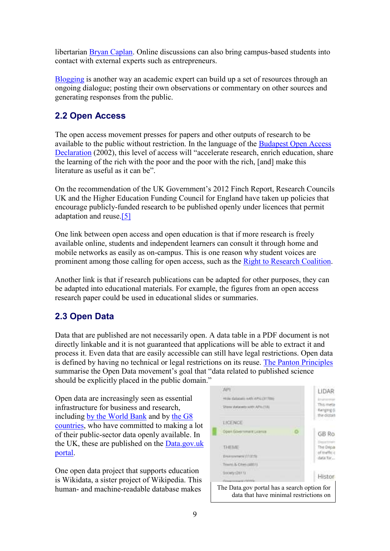libertarian [Bryan Caplan.](https://www.reddit.com/r/IAmA/comments/1x1dyy/i_am_bryan_caplan_economist_and_professor_at/) Online discussions can also bring campus-based students into contact with external experts such as entrepreneurs.

[Blogging](http://economicsnetwork.ac.uk/showcase/ayres_blogs) is another way an academic expert can build up a set of resources through an ongoing dialogue; posting their own observations or commentary on other sources and generating responses from the public.

## <span id="page-8-0"></span>2.2 Open Access

The open access movement presses for papers and other outputs of research to be available to the public without restriction. In the language of the [Budapest Open Access](http://www.budapestopenaccessinitiative.org/read)  [Declaration](http://www.budapestopenaccessinitiative.org/read) (2002), this level of access will "accelerate research, enrich education, share the learning of the rich with the poor and the poor with the rich, [and] make this literature as useful as it can be".

On the recommendation of the UK Government's 2012 Finch Report, Research Councils UK and the Higher Education Funding Council for England have taken up policies that encourage publicly-funded research to be published openly under licences that permit adaptation and reuse[.\[5\]](https://www.economicsnetwork.ac.uk/#fn5)

One link between open access and open education is that if more research is freely available online, students and independent learners can consult it through home and mobile networks as easily as on-campus. This is one reason why student voices are prominent among those calling for open access, such as the [Right to Research Coalition.](http://www.righttoresearch.org/)

Another link is that if research publications can be adapted for other purposes, they can be adapted into educational materials. For example, the figures from an open access research paper could be used in educational slides or summaries.

## <span id="page-8-1"></span>2.3 Open Data

Data that are published are not necessarily open. A data table in a PDF document is not directly linkable and it is not guaranteed that applications will be able to extract it and process it. Even data that are easily accessible can still have legal restrictions. Open data is defined by having no technical or legal restrictions on its reuse. [The Panton Principles](http://pantonprinciples.org/) summarise the Open Data movement's goal that "data related to published science should be explicitly placed in the public domain."

Open data are increasingly seen as essential infrastructure for business and research, including [by the World Bank](https://theodi.org/what-is-open-data) and by [the G8](https://www.gov.uk/government/publications/open-data-charter/g8-open-data-charter-and-technical-annex)  [countries,](https://www.gov.uk/government/publications/open-data-charter/g8-open-data-charter-and-technical-annex) who have committed to making a lot of their public-sector data openly available. In the UK, these are published on the [Data.gov.uk](https://data.gov.uk/data/search?license_id-is-ogl=true)  [portal.](https://data.gov.uk/data/search?license_id-is-ogl=true)

One open data project that supports education is Wikidata, a sister project of Wikipedia. This human- and machine-readable database makes The Data.gov portal has a search option for



reuse.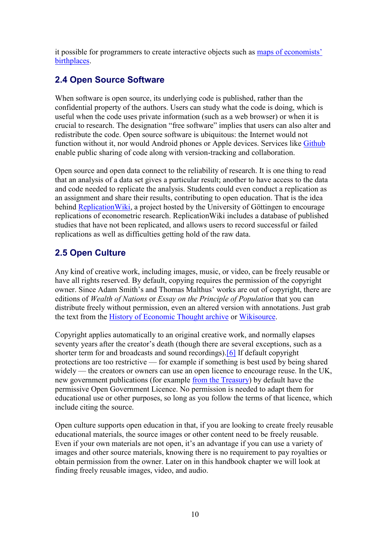it possible for programmers to create interactive objects such as [maps of economists'](https://www.economicsnetwork.ac.uk/poulter_wikidata)  [birthplaces.](https://www.economicsnetwork.ac.uk/poulter_wikidata)

## <span id="page-9-0"></span>2.4 Open Source Software

When software is open source, its underlying code is published, rather than the confidential property of the authors. Users can study what the code is doing, which is useful when the code uses private information (such as a web browser) or when it is crucial to research. The designation "free software" implies that users can also alter and redistribute the code. Open source software is ubiquitous: the Internet would not function without it, nor would Android phones or Apple devices. Services like [Github](https://github.com/) enable public sharing of code along with version-tracking and collaboration.

Open source and open data connect to the reliability of research. It is one thing to read that an analysis of a data set gives a particular result; another to have access to the data and code needed to replicate the analysis. Students could even conduct a replication as an assignment and share their results, contributing to open education. That is the idea behind [ReplicationWiki,](http://replication.uni-goettingen.de/wiki/index.php/Main_Page) a project hosted by the University of Göttingen to encourage replications of econometric research. ReplicationWiki includes a database of published studies that have not been replicated, and allows users to record successful or failed replications as well as difficulties getting hold of the raw data.

## <span id="page-9-1"></span>2.5 Open Culture

Any kind of creative work, including images, music, or video, can be freely reusable or have all rights reserved. By default, copying requires the permission of the copyright owner. Since Adam Smith's and Thomas Malthus' works are out of copyright, there are editions of *Wealth of Nations* or *Essay on the Principle of Population* that you can distribute freely without permission, even an altered version with annotations. Just grab the text from the [History of Economic Thought archive](http://www.efm.bris.ac.uk/het/index.htm) or [Wikisource.](https://en.wikisource.org/wiki/Category:Economists)

Copyright applies automatically to an original creative work, and normally elapses seventy years after the creator's death (though there are several exceptions, such as a shorter term for and broadcasts and sound recordings)[.\[6\]](https://www.economicsnetwork.ac.uk/#fn6) If default copyright protections are too restrictive — for example if something is best used by being shared widely — the creators or owners can use an open licence to encourage reuse. In the UK, new government publications (for example [from the Treasury\)](https://www.gov.uk/government/publications?departments%5B%5D=hm-treasury) by default have the permissive Open Government Licence. No permission is needed to adapt them for educational use or other purposes, so long as you follow the terms of that licence, which include citing the source.

Open culture supports open education in that, if you are looking to create freely reusable educational materials, the source images or other content need to be freely reusable. Even if your own materials are not open, it's an advantage if you can use a variety of images and other source materials, knowing there is no requirement to pay royalties or obtain permission from the owner. Later on in this handbook chapter we will look at finding freely reusable images, video, and audio.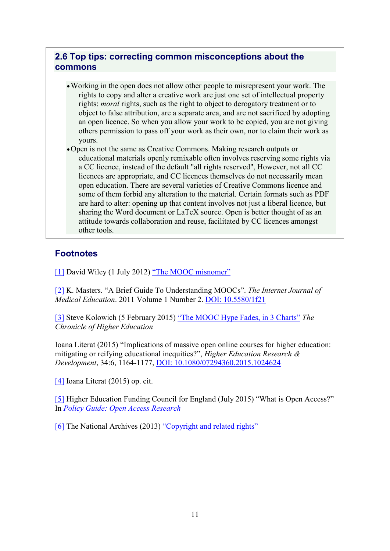## <span id="page-10-0"></span>2.6 Top tips: correcting common misconceptions about the commons

•Working in the open does not allow other people to misrepresent your work. The rights to copy and alter a creative work are just one set of intellectual property rights: *moral* rights, such as the right to object to derogatory treatment or to object to false attribution, are a separate area, and are not sacrificed by adopting an open licence. So when you allow your work to be copied, you are not giving others permission to pass off your work as their own, nor to claim their work as yours.

•Open is not the same as Creative Commons. Making research outputs or educational materials openly remixable often involves reserving some rights via a CC licence, instead of the default "all rights reserved", However, not all CC licences are appropriate, and CC licences themselves do not necessarily mean open education. There are several varieties of Creative Commons licence and some of them forbid any alteration to the material. Certain formats such as PDF are hard to alter: opening up that content involves not just a liberal licence, but sharing the Word document or LaTeX source. Open is better thought of as an attitude towards collaboration and reuse, facilitated by CC licences amongst other tools.

## **Footnotes**

[\[1\]](https://www.economicsnetwork.ac.uk/#fn1ref) David Wiley (1 July 2012) ["The MOOC misnomer"](https://opencontent.org/blog/archives/2436)

[\[2\]](https://www.economicsnetwork.ac.uk/#fn2ref) K. Masters. "A Brief Guide To Understanding MOOCs". *The Internet Journal of Medical Education*. 2011 Volume 1 Number 2. [DOI: 10.5580/1f21](http://dx.doi.org/10.5580/1f21)

[\[3\]](https://www.economicsnetwork.ac.uk/#fn3ref) Steve Kolowich (5 February 2015) ["The MOOC Hype Fades, in 3 Charts"](http://www.chronicle.com/blogs/wiredcampus/the-mooc-fades-in-3-charts/55701) *The Chronicle of Higher Education*

Ioana Literat (2015) "Implications of massive open online courses for higher education: mitigating or reifying educational inequities?", *Higher Education Research & Development*, 34:6, 1164-1177, [DOI: 10.1080/07294360.2015.1024624](http://dx.doi.org/10.1080/07294360.2015.1024624)

[\[4\]](https://www.economicsnetwork.ac.uk/#fn4ref) Ioana Literat (2015) op. cit.

[\[5\]](https://www.economicsnetwork.ac.uk/#fn5ref) Higher Education Funding Council for England (July 2015) "What is Open Access?" In *[Policy Guide: Open Access Research](http://www.hefce.ac.uk/rsrch/oa/whatis/)*

[\[6\]](https://www.economicsnetwork.ac.uk/#fn6ref) The National Archives (2013) ["Copyright and related rights"](http://www.nationalarchives.gov.uk/documents/information-management/copyright-related-rights.pdf)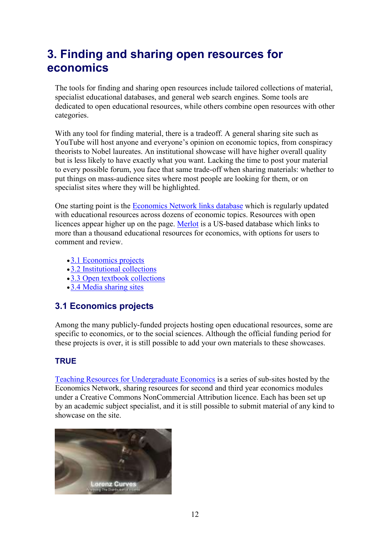## <span id="page-11-0"></span>3. Finding and sharing open resources for economics

The tools for finding and sharing open resources include tailored collections of material, specialist educational databases, and general web search engines. Some tools are dedicated to open educational resources, while others combine open resources with other categories.

With any tool for finding material, there is a tradeoff. A general sharing site such as YouTube will host anyone and everyone's opinion on economic topics, from conspiracy theorists to Nobel laureates. An institutional showcase will have higher overall quality but is less likely to have exactly what you want. Lacking the time to post your material to every possible forum, you face that same trade-off when sharing materials: whether to put things on mass-audience sites where most people are looking for them, or on specialist sites where they will be highlighted.

One starting point is the [Economics Network links database](http://economicsnetwork.ac.uk/links) which is regularly updated with educational resources across dozens of economic topics. Resources with open licences appear higher up on the page. [Merlot](https://www.merlot.org/merlot/materials.htm?category=2216) is a US-based database which links to more than a thousand educational resources for economics, with options for users to comment and review.

- [3.1 Economics projects](https://www.economicsnetwork.ac.uk/#s31)
- •[3.2 Institutional collections](https://www.economicsnetwork.ac.uk/#s32)
- •[3.3 Open textbook collections](https://www.economicsnetwork.ac.uk/#s33)
- •[3.4 Media sharing sites](https://www.economicsnetwork.ac.uk/#s34)

## <span id="page-11-1"></span>3.1 Economics projects

Among the many publicly-funded projects hosting open educational resources, some are specific to economics, or to the social sciences. Although the official funding period for these projects is over, it is still possible to add your own materials to these showcases.

## **TRUE**

[Teaching Resources for Undergraduate Economics](http://economicsnetwork.ac.uk/projects/true) is a series of sub-sites hosted by the Economics Network, sharing resources for second and third year economics modules under a Creative Commons NonCommercial Attribution licence. Each has been set up by an academic subject specialist, and it is still possible to submit material of any kind to showcase on the site.

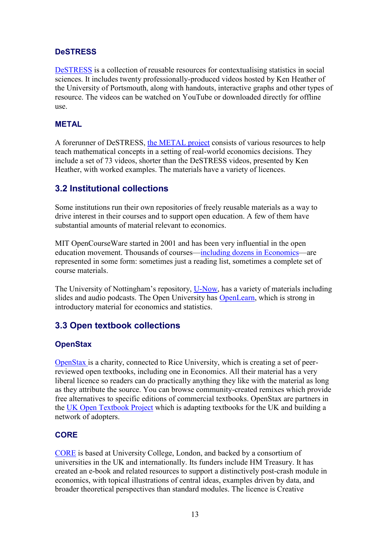## **DeSTRESS**

[DeSTRESS](http://economicsnetwork.ac.uk/statistics) is a collection of reusable resources for contextualising statistics in social sciences. It includes twenty professionally-produced videos hosted by Ken Heather of the University of Portsmouth, along with handouts, interactive graphs and other types of resource. The videos can be watched on YouTube or downloaded directly for offline use.

#### METAL

A forerunner of DeSTRESS, [the METAL project](http://metalproject.co.uk/) consists of various resources to help teach mathematical concepts in a setting of real-world economics decisions. They include a set of 73 videos, shorter than the DeSTRESS videos, presented by Ken Heather, with worked examples. The materials have a variety of licences.

## <span id="page-12-0"></span>3.2 Institutional collections

Some institutions run their own repositories of freely reusable materials as a way to drive interest in their courses and to support open education. A few of them have substantial amounts of material relevant to economics.

MIT OpenCourseWare started in 2001 and has been very influential in the open education movement. Thousands of courses—[including dozens in Economics](http://ocw.mit.edu/courses/economics/)—are represented in some form: sometimes just a reading list, sometimes a complete set of course materials.

The University of Nottingham's repository, [U-Now,](http://unow.nottingham.ac.uk/resources.aspx?kw=economics) has a variety of materials including slides and audio podcasts. The Open University has [OpenLearn,](http://www.open.edu/openlearn/society/politics-policy-people/economics) which is strong in introductory material for economics and statistics.

## <span id="page-12-1"></span>3.3 Open textbook collections

## **OpenStax**

[OpenStax i](https://openstax.org/subjects/social-sciences)s a charity, connected to Rice University, which is creating a set of peerreviewed open textbooks, including one in Economics. All their material has a very liberal licence so readers can do practically anything they like with the material as long as they attribute the source. You can browse community-created remixes which provide free alternatives to specific editions of commercial textbooks. OpenStax are partners in the [UK Open Textbook Project](http://ukopentextbooks.org/) which is adapting textbooks for the UK and building a network of adopters.

## **CORE**

[CORE](http://www.core-econ.org/about-our-ebook/) is based at University College, London, and backed by a consortium of universities in the UK and internationally. Its funders include HM Treasury. It has created an e-book and related resources to support a distinctively post-crash module in economics, with topical illustrations of central ideas, examples driven by data, and broader theoretical perspectives than standard modules. The licence is Creative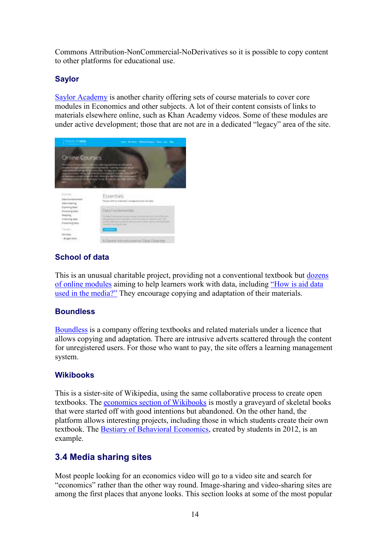Commons Attribution-NonCommercial-NoDerivatives so it is possible to copy content to other platforms for educational use.

#### Saylor

[Saylor Academy](https://learn.saylor.org/course/index.php?categoryid=10) is another charity offering sets of course materials to cover core modules in Economics and other subjects. A lot of their content consists of links to materials elsewhere online, such as Khan Academy videos. Some of these modules are under active development; those that are not are in a dedicated "legacy" area of the site.



## School of data

This is an unusual charitable project, providing not a conventional textbook but [dozens](https://schoolofdata.org/courses/)  [of online modules](https://schoolofdata.org/courses/) aiming to help learners work with data, including ["How is aid data](https://schoolofdata.org/courses/inspiration-module-how-is-aid-data-used-in-the-media/)  [used in the media?"](https://schoolofdata.org/courses/inspiration-module-how-is-aid-data-used-in-the-media/) They encourage copying and adaptation of their materials.

#### **Boundless**

[Boundless](https://www.boundless.com/economics/) is a company offering textbooks and related materials under a licence that allows copying and adaptation. There are intrusive adverts scattered through the content for unregistered users. For those who want to pay, the site offers a learning management system.

#### Wikibooks

This is a sister-site of Wikipedia, using the same collaborative process to create open textbooks. The [economics section of Wikibooks](https://en.wikibooks.org/wiki/Subject:Economics) is mostly a graveyard of skeletal books that were started off with good intentions but abandoned. On the other hand, the platform allows interesting projects, including those in which students create their own textbook. The [Bestiary of Behavioral Economics,](https://en.wikibooks.org/wiki/Bestiary_of_Behavioral_Economics) created by students in 2012, is an example.

## <span id="page-13-0"></span>3.4 Media sharing sites

Most people looking for an economics video will go to a video site and search for "economics" rather than the other way round. Image-sharing and video-sharing sites are among the first places that anyone looks. This section looks at some of the most popular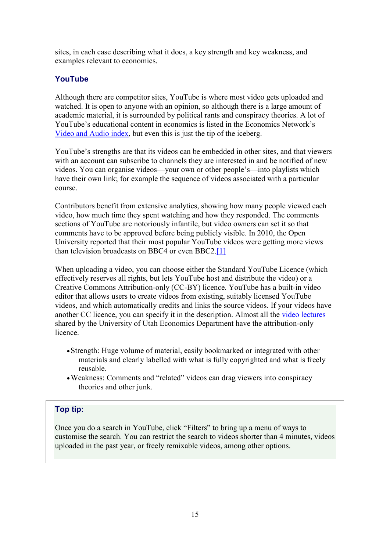sites, in each case describing what it does, a key strength and key weakness, and examples relevant to economics.

#### YouTube

Although there are competitor sites, YouTube is where most video gets uploaded and watched. It is open to anyone with an opinion, so although there is a large amount of academic material, it is surrounded by political rants and conspiracy theories. A lot of YouTube's educational content in economics is listed in the Economics Network's [Video and Audio index,](https://www.economicsnetwork.ac.uk/teaching/video) but even this is just the tip of the iceberg.

YouTube's strengths are that its videos can be embedded in other sites, and that viewers with an account can subscribe to channels they are interested in and be notified of new videos. You can organise videos—your own or other people's—into playlists which have their own link; for example the sequence of videos associated with a particular course.

Contributors benefit from extensive analytics, showing how many people viewed each video, how much time they spent watching and how they responded. The comments sections of YouTube are notoriously infantile, but video owners can set it so that comments have to be approved before being publicly visible. In 2010, the Open University reported that their most popular YouTube videos were getting more views than television broadcasts on BBC4 or even BBC2[.\[1\]](https://www.economicsnetwork.ac.uk/#fn1)

When uploading a video, you can choose either the Standard YouTube Licence (which effectively reserves all rights, but lets YouTube host and distribute the video) or a Creative Commons Attribution-only (CC-BY) licence. YouTube has a built-in video editor that allows users to create videos from existing, suitably licensed YouTube videos, and which automatically credits and links the source videos. If your videos have another CC licence, you can specify it in the description. Almost all the [video lectures](https://www.youtube.com/user/EconomicsUofUtah) shared by the University of Utah Economics Department have the attribution-only licence.

- •Strength: Huge volume of material, easily bookmarked or integrated with other materials and clearly labelled with what is fully copyrighted and what is freely reusable.
- •Weakness: Comments and "related" videos can drag viewers into conspiracy theories and other junk.

## Top tip:

Once you do a search in YouTube, click "Filters" to bring up a menu of ways to customise the search. You can restrict the search to videos shorter than 4 minutes, videos uploaded in the past year, or freely remixable videos, among other options.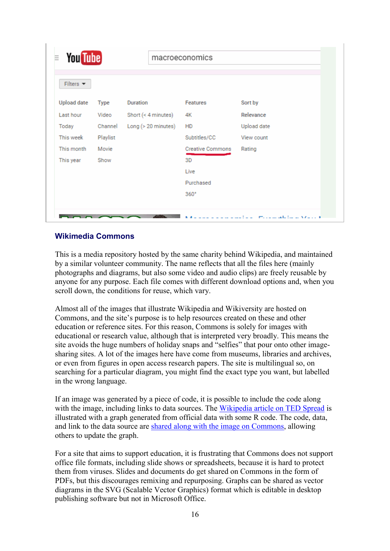| Filters $\blacktriangledown$ |             |                       |                         |             |
|------------------------------|-------------|-----------------------|-------------------------|-------------|
| <b>Upload date</b>           | <b>Type</b> | <b>Duration</b>       | <b>Features</b>         | Sort by     |
| Last hour                    | Video       | Short (< $4$ minutes) | 4K                      | Relevance   |
| Today                        | Channel     | Long (> 20 minutes)   | HD                      | Upload date |
| This week                    | Playlist    |                       | Subtitles/CC            | View count  |
| This month                   | Movie       |                       | <b>Creative Commons</b> | Rating      |
| This year                    | Show        |                       | 3D                      |             |
|                              |             |                       | Live                    |             |
|                              |             |                       | Purchased               |             |
|                              |             |                       | 360°                    |             |

#### Wikimedia Commons

This is a media repository hosted by the same charity behind Wikipedia, and maintained by a similar volunteer community. The name reflects that all the files here (mainly photographs and diagrams, but also some video and audio clips) are freely reusable by anyone for any purpose. Each file comes with different download options and, when you scroll down, the conditions for reuse, which vary.

Almost all of the images that illustrate Wikipedia and Wikiversity are hosted on Commons, and the site's purpose is to help resources created on these and other education or reference sites. For this reason, Commons is solely for images with educational or research value, although that is interpreted very broadly. This means the site avoids the huge numbers of holiday snaps and "selfies" that pour onto other imagesharing sites. A lot of the images here have come from museums, libraries and archives, or even from figures in open access research papers. The site is multilingual so, on searching for a particular diagram, you might find the exact type you want, but labelled in the wrong language.

If an image was generated by a piece of code, it is possible to include the code along with the image, including links to data sources. The [Wikipedia article on TED Spread](https://en.wikipedia.org/wiki/TED_spread) is illustrated with a graph generated from official data with some R code. The code, data, and link to the data source are [shared along with the image on Commons,](https://commons.wikimedia.org/wiki/File:Ted-Spread.png) allowing others to update the graph.

For a site that aims to support education, it is frustrating that Commons does not support office file formats, including slide shows or spreadsheets, because it is hard to protect them from viruses. Slides and documents do get shared on Commons in the form of PDFs, but this discourages remixing and repurposing. Graphs can be shared as vector diagrams in the SVG (Scalable Vector Graphics) format which is editable in desktop publishing software but not in Microsoft Office.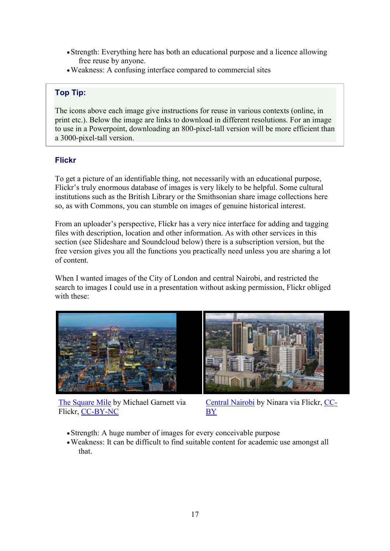- Strength: Everything here has both an educational purpose and a licence allowing free reuse by anyone.
- •Weakness: A confusing interface compared to commercial sites

## Top Tip:

The icons above each image give instructions for reuse in various contexts (online, in print etc.). Below the image are links to download in different resolutions. For an image to use in a Powerpoint, downloading an 800-pixel-tall version will be more efficient than a 3000-pixel-tall version.

## Flickr

To get a picture of an identifiable thing, not necessarily with an educational purpose, Flickr's truly enormous database of images is very likely to be helpful. Some cultural institutions such as the British Library or the Smithsonian share image collections here so, as with Commons, you can stumble on images of genuine historical interest.

From an uploader's perspective, Flickr has a very nice interface for adding and tagging files with description, location and other information. As with other services in this section (see Slideshare and Soundcloud below) there is a subscription version, but the free version gives you all the functions you practically need unless you are sharing a lot of content.

When I wanted images of the City of London and central Nairobi, and restricted the search to images I could use in a presentation without asking permission, Flickr obliged with these:



[The Square Mile](https://www.flickr.com/photos/mikepaws/10657936013/) by Michael Garnett via Flickr, [CC-BY-NC](https://creativecommons.org/licenses/by-nc/2.0/)



[Central Nairobi](https://www.flickr.com/photos/ninara/17297660486/) by Ninara via Flickr, [CC-](https://creativecommons.org/licenses/by/2.0/)[BY](https://creativecommons.org/licenses/by/2.0/)

- Strength: A huge number of images for every conceivable purpose
- •Weakness: It can be difficult to find suitable content for academic use amongst all that.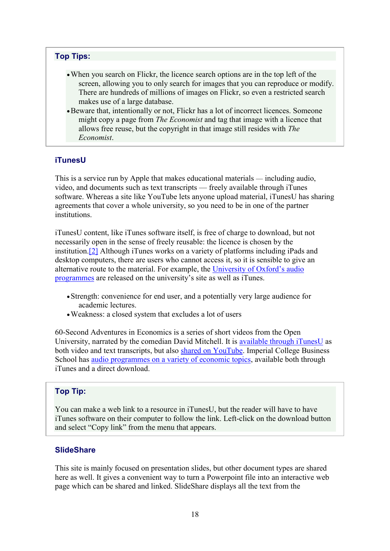#### Top Tips:

- When you search on Flickr, the licence search options are in the top left of the screen, allowing you to only search for images that you can reproduce or modify. There are hundreds of millions of images on Flickr, so even a restricted search makes use of a large database.
- •Beware that, intentionally or not, Flickr has a lot of incorrect licences. Someone might copy a page from *The Economist* and tag that image with a licence that allows free reuse, but the copyright in that image still resides with *The Economist*.

#### iTunesU

This is a service run by Apple that makes educational materials — including audio, video, and documents such as text transcripts — freely available through iTunes software. Whereas a site like YouTube lets anyone upload material, iTunesU has sharing agreements that cover a whole university, so you need to be in one of the partner institutions.

iTunesU content, like iTunes software itself, is free of charge to download, but not necessarily open in the sense of freely reusable: the licence is chosen by the institution[.\[2\]](https://www.economicsnetwork.ac.uk/#fn2) Although iTunes works on a variety of platforms including iPads and desktop computers, there are users who cannot access it, so it is sensible to give an alternative route to the material. For example, the [University of Oxford's audio](https://www.ox.ac.uk/itunes-u?wssl=1)  [programmes](https://www.ox.ac.uk/itunes-u?wssl=1) are released on the university's site as well as iTunes.

- •Strength: convenience for end user, and a potentially very large audience for academic lectures.
- •Weakness: a closed system that excludes a lot of users

60-Second Adventures in Economics is a series of short videos from the Open University, narrated by the comedian David Mitchell. It is [available through iTunesU](https://itunes.apple.com/gb/itunes-u/60-second-adventures-in-economics/id559719174) as both video and text transcripts, but also [shared on YouTube.](https://www.youtube.com/watch?v=ulyVXa-u4wE&list=PLhQpDGfX5e7DDGEQvLonjDQsbclAF2N-t) Imperial College Business School has [audio programmes on a variety of economic topics,](http://wwwf.imperial.ac.uk/imedia/itunes_collections/view/economics) available both through iTunes and a direct download.

#### Top Tip:

You can make a web link to a resource in iTunesU, but the reader will have to have iTunes software on their computer to follow the link. Left-click on the download button and select "Copy link" from the menu that appears.

#### **SlideShare**

This site is mainly focused on presentation slides, but other document types are shared here as well. It gives a convenient way to turn a Powerpoint file into an interactive web page which can be shared and linked. SlideShare displays all the text from the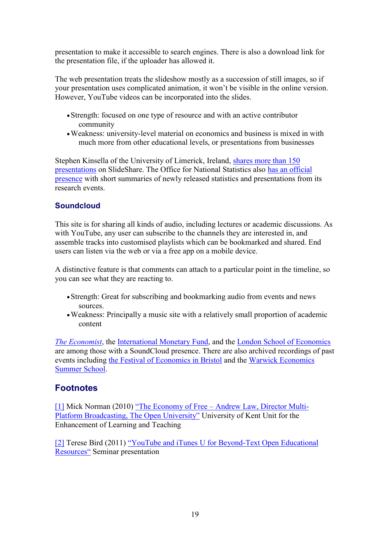presentation to make it accessible to search engines. There is also a download link for the presentation file, if the uploader has allowed it.

The web presentation treats the slideshow mostly as a succession of still images, so if your presentation uses complicated animation, it won't be visible in the online version. However, YouTube videos can be incorporated into the slides.

- •Strength: focused on one type of resource and with an active contributor community
- •Weakness: university-level material on economics and business is mixed in with much more from other educational levels, or presentations from businesses

Stephen Kinsella of the University of Limerick, Ireland, [shares more than 150](http://www.slideshare.net/kinsells)  [presentations](http://www.slideshare.net/kinsells) on SlideShare. The Office for National Statistics also [has an official](http://www.slideshare.net/statisticsONS)  [presence](http://www.slideshare.net/statisticsONS) with short summaries of newly released statistics and presentations from its research events.

## **Soundcloud**

This site is for sharing all kinds of audio, including lectures or academic discussions. As with YouTube, any user can subscribe to the channels they are interested in, and assemble tracks into customised playlists which can be bookmarked and shared. End users can listen via the web or via a free app on a mobile device.

A distinctive feature is that comments can attach to a particular point in the timeline, so you can see what they are reacting to.

- •Strength: Great for subscribing and bookmarking audio from events and news sources.
- •Weakness: Principally a music site with a relatively small proportion of academic content

*[The Economist](https://soundcloud.com/theeconomist)*, the [International Monetary](https://soundcloud.com/imf-podcasts) Fund, and the [London School of Economics](https://soundcloud.com/lsepodcasts) are among those with a SoundCloud presence. There are also archived recordings of past events including [the Festival of Economics in Bristol](https://soundcloud.com/bristol-festival-of-ideas/sets/festival-of-economics-2016) and the [Warwick Economics](https://soundcloud.com/warwick-economics-summit/)  [Summer School.](https://soundcloud.com/warwick-economics-summit/)

## **Footnotes**

[\[1\]](https://www.economicsnetwork.ac.uk/#fn1ref) Mick Norman (2010) "The Economy of Free – [Andrew Law, Director Multi-](https://blogs.kent.ac.uk/learn-tech/2010/04/27/the-economy-of-free-andrew-law-director-multi-platform-broadcasting-the-open-university/)[Platform Broadcasting, The Open](https://blogs.kent.ac.uk/learn-tech/2010/04/27/the-economy-of-free-andrew-law-director-multi-platform-broadcasting-the-open-university/) University" University of Kent Unit for the Enhancement of Learning and Teaching

[\[2\]](https://www.economicsnetwork.ac.uk/#fn2ref) Terese Bird (2011) ["YouTube and iTunes U for Beyond](http://www.slideshare.net/tbirdcymru/youtube-and-itunes-u-for-beyondtext-open-educational-resources)-Text Open Educational [Resources"](http://www.slideshare.net/tbirdcymru/youtube-and-itunes-u-for-beyondtext-open-educational-resources) Seminar presentation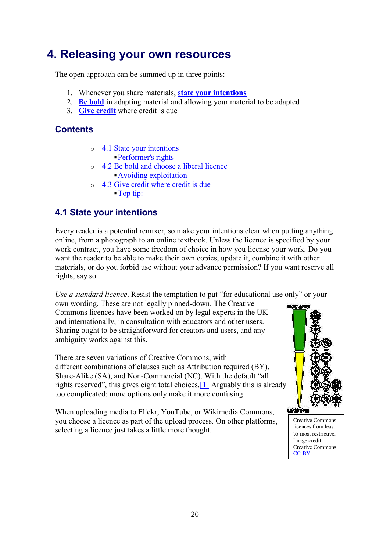## <span id="page-19-0"></span>4. Releasing your own resources

The open approach can be summed up in three points:

- 1. Whenever you share materials, **[state your intentions](https://www.economicsnetwork.ac.uk/#s41)**
- 2. **[Be bold](https://www.economicsnetwork.ac.uk/#s42)** in adapting material and allowing your material to be adapted
- 3. **[Give credit](https://www.economicsnetwork.ac.uk/#s43)** where credit is due

## **Contents**

- o [4.1 State your intentions](https://www.economicsnetwork.ac.uk/#s41)
	- ▪[Performer's rights](https://www.economicsnetwork.ac.uk/#Performer-s_rights)
- o [4.2 Be bold and choose a liberal licence](https://www.economicsnetwork.ac.uk/#s42) ▪[Avoiding exploitation](https://www.economicsnetwork.ac.uk/#Avoiding_exploitation)
- o [4.3 Give credit where credit is due](https://www.economicsnetwork.ac.uk/#s43) ▪[Top tip:](https://www.economicsnetwork.ac.uk/#Top_tip:)

## <span id="page-19-1"></span>4.1 State your intentions

Every reader is a potential remixer, so make your intentions clear when putting anything online, from a photograph to an online textbook. Unless the licence is specified by your work contract, you have some freedom of choice in how you license your work. Do you want the reader to be able to make their own copies, update it, combine it with other materials, or do you forbid use without your advance permission? If you want reserve all rights, say so.

*Use a standard licence*. Resist the temptation to put "for educational use only" or your

own wording. These are not legally pinned-down. The Creative Commons licences have been worked on by legal experts in the UK and internationally, in consultation with educators and other users. Sharing ought to be straightforward for creators and users, and any ambiguity works against this.

There are seven variations of Creative Commons, with different combinations of clauses such as Attribution required (BY), Share-Alike (SA), and Non-Commercial (NC). With the default "all rights reserved", this gives eight total choices.[\[1\]](https://www.economicsnetwork.ac.uk/#fn1) Arguably this is already too complicated: more options only make it more confusing.

When uploading media to Flickr, YouTube, or Wikimedia Commons, you choose a licence as part of the upload process. On other platforms, selecting a licence just takes a little more thought.



Creative Commons licences from least to most restrictive. Image credit: Creative Commons [CC-BY](https://creativecommons.org/licenses/by/4.0/)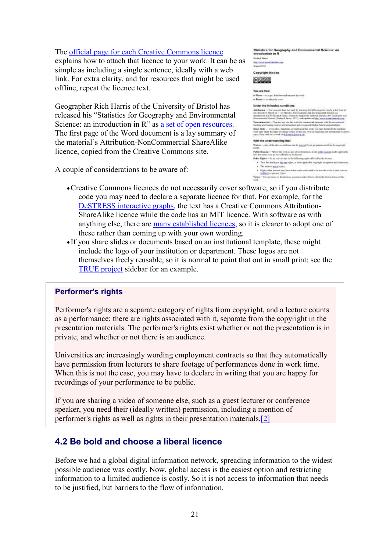#### The [official page for each Creative Commons licence](https://creativecommons.org/licenses/)

explains how to attach that licence to your work. It can be simple as including a single sentence, ideally with a web link. For extra clarity, and for resources that might be used offline, repeat the licence text.

Geographer Rich Harris of the University of Bristol has released his "Statistics for Geography and Environmental Science: an introduction in R" as <u>a set of open resources</u>. The first page of the Word document is a lay summary of the material's Attribution-NonCommercial ShareAlike licence, copied from the Creative Commons site.

A couple of considerations to be aware of:

| _____<br>introduction in R                                                                                                                                                                                                                                                                                                                                                            |
|---------------------------------------------------------------------------------------------------------------------------------------------------------------------------------------------------------------------------------------------------------------------------------------------------------------------------------------------------------------------------------------|
| <b>Richard Haven</b>                                                                                                                                                                                                                                                                                                                                                                  |
| <b>MA: Direct assaul EMARGIN AVE</b>                                                                                                                                                                                                                                                                                                                                                  |
| August 2811                                                                                                                                                                                                                                                                                                                                                                           |
| <b>Copyright Notice</b>                                                                                                                                                                                                                                                                                                                                                               |
|                                                                                                                                                                                                                                                                                                                                                                                       |
| You are free:                                                                                                                                                                                                                                                                                                                                                                         |
| to Share - to copy, desirban and tensor's the so-                                                                                                                                                                                                                                                                                                                                     |
| to Bassin - in adapt the work.                                                                                                                                                                                                                                                                                                                                                        |
| Under the following conditions:                                                                                                                                                                                                                                                                                                                                                       |
| Atterbation -- Statemen washere the week to tracetag the Stillewing tear cloudy at the than all<br>art decrease finant as 1.1 of Spender for Gross spite and Europeanoral Science, an<br>introduction in R. by Fichard Harro, written to support the reebook Business for Geography and<br>Everyonemial Searce (Hanny & Jacon, 2011), with splates at http://www.pinal.statistics.com |
| Networkerstal -- You say not law this work by commercial purposes tods the exception of<br>markete and trajeing invarior at Chirvenhor and revenueed Nedler Education institutions.                                                                                                                                                                                                   |
| Miam Akke-If you altat. Equiliate, at ballil upon this work, you may distribute the tending.<br>week only under the same or standar brotter to this sus. This not requested but not stage and is ered a<br>degreed was decisionly work to sick has suffices at all.                                                                                                                   |
| With the understanding that:                                                                                                                                                                                                                                                                                                                                                          |
| Wallest - Any of the shore conditions inclu paped if you get permission from the copyright .<br>tutter.                                                                                                                                                                                                                                                                               |
| Public Bonnes - Where the work or nor of ny elements is in the public domain make applicable<br>les) that status is in no way affected by the leases-                                                                                                                                                                                                                                 |
| Other Highes - In no way are see altha fallowing upto affortably the known                                                                                                                                                                                                                                                                                                            |
| · You for deding or the net right, or after applicable reporcit recognizes and limitetums;                                                                                                                                                                                                                                                                                            |
| . The author's north vights:                                                                                                                                                                                                                                                                                                                                                          |
| * Eights other persons start have without the truck duelf or at hom the work at need, multi-ac-<br>positions or privacy rigges.                                                                                                                                                                                                                                                       |
| Notice * For any trace or domination, you took make their to other the license terms of the<br><b>winds</b>                                                                                                                                                                                                                                                                           |
|                                                                                                                                                                                                                                                                                                                                                                                       |

- •Creative Commons licences do not necessarily cover software, so if you distribute code you may need to declare a separate licence for that. For example, for the [DeSTRESS interactive graphs,](http://economicsnetwork.ac.uk/statistics/graphs) the text has a Creative Commons Attribution-ShareAlike licence while the code has an MIT licence. With software as with anything else, there are [many established licences,](https://tldrlegal.com/) so it is clearer to adopt one of these rather than coming up with your own wording.
- If you share slides or documents based on an institutional template, these might include the logo of your institution or department. These logos are not themselves freely reusable, so it is normal to point that out in small print: see the [TRUE project](https://www.economicsnetwork.ac.uk/true_showcase) sidebar for an example.

#### Performer's rights

Performer's rights are a separate category of rights from copyright, and a lecture counts as a performance: there are rights associated with it, separate from the copyright in the presentation materials. The performer's rights exist whether or not the presentation is in private, and whether or not there is an audience.

Universities are increasingly wording employment contracts so that they automatically have permission from lecturers to share footage of performances done in work time. When this is not the case, you may have to declare in writing that you are happy for recordings of your performance to be public.

If you are sharing a video of someone else, such as a guest lecturer or conference speaker, you need their (ideally written) permission, including a mention of performer's rights as well as rights in their presentation materials[.\[2\]](https://www.economicsnetwork.ac.uk/#fn2)

## <span id="page-20-0"></span>4.2 Be bold and choose a liberal licence

Before we had a global digital information network, spreading information to the widest possible audience was costly. Now, global access is the easiest option and restricting information to a limited audience is costly. So it is not access to information that needs to be justified, but barriers to the flow of information.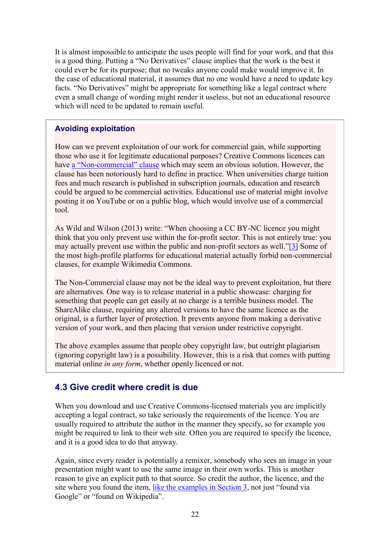It is almost impossible to anticipate the uses people will find for your work, and that this is a good thing. Putting a "No Derivatives" clause implies that the work is the best it could ever be for its purpose; that no tweaks anyone could make would improve it. In the case of educational material, it assumes that no one would have a need to update key facts. "No Derivatives" might be appropriate for something like a legal contract where even a small change of wording might render it useless, but not an educational resource which will need to be updated to remain useful.

#### Avoiding exploitation

How can we prevent exploitation of our work for commercial gain, while supporting those who use it for legitimate educational purposes? Creative Commons licences can have a "Non-[commercial" clause](https://wiki.creativecommons.org/4.0/NonCommercial) which may seem an obvious solution. However, the clause has been notoriously hard to define in practice. When universities charge tuition fees and much research is published in subscription journals, education and research could be argued to be commercial activities. Educational use of material might involve posting it on YouTube or on a public blog, which would involve use of a commercial tool.

As Wild and Wilson (2013) write: "When choosing a CC BY-NC licence you might think that you only prevent use within the for-profit sector. This is not entirely true: you may actually prevent use within the public and non-profit sectors as well."[\[3\]](https://www.economicsnetwork.ac.uk/#fn3) Some of the most high-profile platforms for educational material actually forbid non-commercial clauses, for example Wikimedia Commons.

The Non-Commercial clause may not be the ideal way to prevent exploitation, but there are alternatives. One way is to release material in a public showcase: charging for something that people can get easily at no charge is a terrible business model. The ShareAlike clause, requiring any altered versions to have the same licence as the original, is a further layer of protection. It prevents anyone from making a derivative version of your work, and then placing that version under restrictive copyright.

The above examples assume that people obey copyright law, but outright plagiarism (ignoring copyright law) is a possibility. However, this is a risk that comes with putting material online *in any form*, whether openly licenced or not.

#### <span id="page-21-0"></span>4.3 Give credit where credit is due

When you download and use Creative Commons-licensed materials you are implicitly accepting a legal contract, so take seriously the requirements of the licence. You are usually required to attribute the author in the manner they specify, so for example you might be required to link to their web site. Often you are required to specify the licence, and it is a good idea to do that anyway.

Again, since every reader is potentially a remixer, somebody who sees an image in your presentation might want to use the same image in their own works. This is another reason to give an explicit path to that source. So credit the author, the licence, and the site where you found the item, [like the examples in Section 3](https://www.economicsnetwork.ac.uk/handbook/open/3#Flickr), not just "found via Google" or "found on Wikipedia".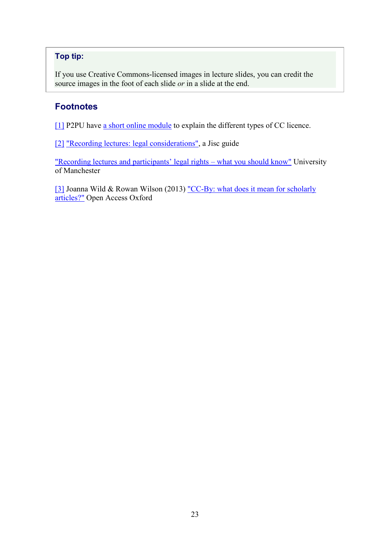## Top tip:

If you use Creative Commons-licensed images in lecture slides, you can credit the source images in the foot of each slide *or* in a slide at the end.

## **Footnotes**

[\[1\]](https://www.economicsnetwork.ac.uk/#fnref1) P2PU have [a short online module](https://courses.p2pu.org/en/groups/get-cc-savvy/) to explain the different types of CC licence.

[\[2\]](https://www.economicsnetwork.ac.uk/#fnref2) ["Recording lectures: legal considerations",](https://www.jisc.ac.uk/guides/recording-lectures-legal-considerations) a Jisc guide

["Recording lectures and participants' legal rights –](http://www.elearning.eps.manchester.ac.uk/recording-lectures-and-participants-legal-rights-what-you-should-know/) what you should know" University of Manchester

[\[3\]](https://www.economicsnetwork.ac.uk/#fnref3) Joanna Wild & Rowan Wilson (2013) ["CC-By: what does it mean for scholarly](http://openaccess.ox.ac.uk/cc-by-what-does-it-mean-for-scholarly-articles-3/)  [articles?"](http://openaccess.ox.ac.uk/cc-by-what-does-it-mean-for-scholarly-articles-3/) Open Access Oxford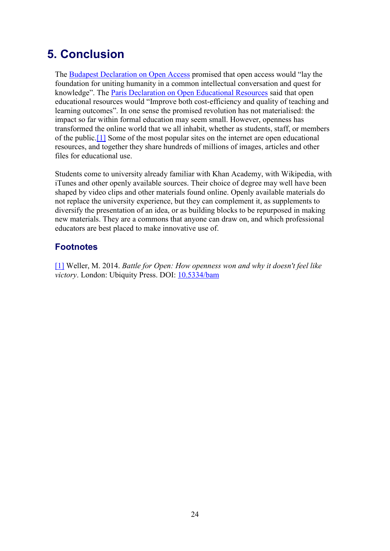## <span id="page-23-0"></span>5. Conclusion

The [Budapest Declaration on Open Access](http://www.budapestopenaccessinitiative.org/read) promised that open access would "lay the foundation for uniting humanity in a common intellectual conversation and quest for knowledge". The [Paris Declaration on Open Educational Resources](http://www.unesco.org/new/fileadmin/MULTIMEDIA/HQ/CI/CI/pdf/Events/English_Paris_OER_Declaration.pdf) said that open educational resources would "Improve both cost-efficiency and quality of teaching and learning outcomes". In one sense the promised revolution has not materialised: the impact so far within formal education may seem small. However, openness has transformed the online world that we all inhabit, whether as students, staff, or members of the public[.\[1\]](https://www.economicsnetwork.ac.uk/#fn1) Some of the most popular sites on the internet are open educational resources, and together they share hundreds of millions of images, articles and other files for educational use.

Students come to university already familiar with Khan Academy, with Wikipedia, with iTunes and other openly available sources. Their choice of degree may well have been shaped by video clips and other materials found online. Openly available materials do not replace the university experience, but they can complement it, as supplements to diversify the presentation of an idea, or as building blocks to be repurposed in making new materials. They are a commons that anyone can draw on, and which professional educators are best placed to make innovative use of.

## **Footnotes**

[\[1\]](https://www.economicsnetwork.ac.uk/#fn1ref) Weller, M. 2014. *Battle for Open: How openness won and why it doesn't feel like victory*. London: Ubiquity Press. DOI: [10.5334/bam](https://doi.org/10.5334/bam)